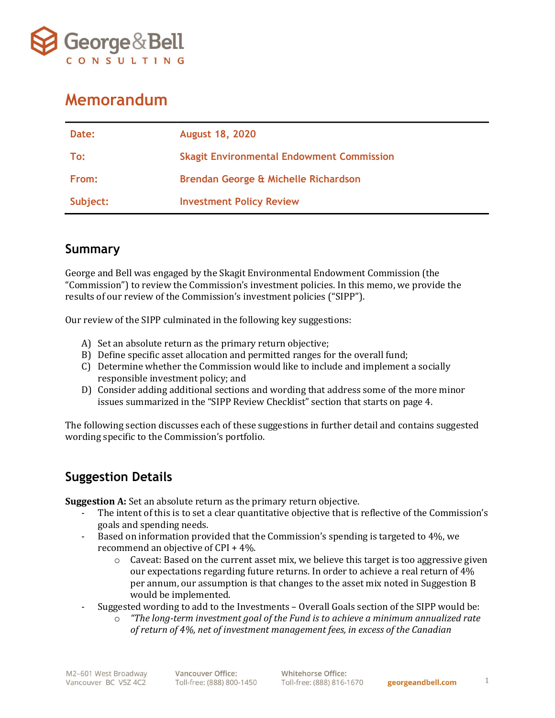

## Memorandum

| Date:    | <b>August 18, 2020</b>                           |
|----------|--------------------------------------------------|
| To:      | <b>Skagit Environmental Endowment Commission</b> |
| From:    | Brendan George & Michelle Richardson             |
| Subject: | <b>Investment Policy Review</b>                  |

## Summary

George and Bell was engaged by the Skagit Environmental Endowment Commission (the "Commission") to review the Commission's investment policies. In this memo, we provide the results of our review of the Commission's investment policies ("SIPP").

Our review of the SIPP culminated in the following key suggestions:

- A) Set an absolute return as the primary return objective;
- B) Define specific asset allocation and permitted ranges for the overall fund;
- C) Determine whether the Commission would like to include and implement a socially responsible investment policy; and
- D) Consider adding additional sections and wording that address some of the more minor issues summarized in the "SIPP Review Checklist" section that starts on page 4.

The following section discusses each of these suggestions in further detail and contains suggested wording specific to the Commission's portfolio.

## Suggestion Details

Suggestion A: Set an absolute return as the primary return objective.

- The intent of this is to set a clear quantitative objective that is reflective of the Commission's goals and spending needs.
- Based on information provided that the Commission's spending is targeted to 4%, we recommend an objective of CPI + 4%.
	- $\circ$  Caveat: Based on the current asset mix, we believe this target is too aggressive given our expectations regarding future returns. In order to achieve a real return of 4% per annum, our assumption is that changes to the asset mix noted in Suggestion B would be implemented.
- Suggested wording to add to the Investments Overall Goals section of the SIPP would be:
	- o "The long-term investment goal of the Fund is to achieve a minimum annualized rate of return of 4%, net of investment management fees, in excess of the Canadian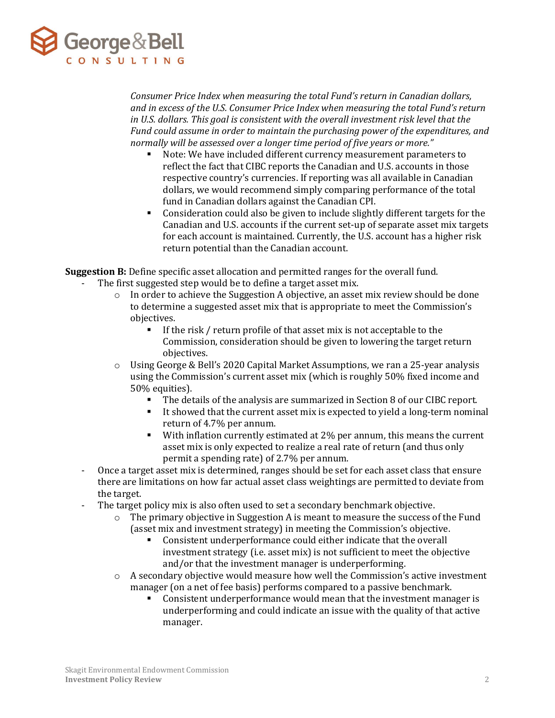

Consumer Price Index when measuring the total Fund's return in Canadian dollars, and in excess of the U.S. Consumer Price Index when measuring the total Fund's return in U.S. dollars. This goal is consistent with the overall investment risk level that the Fund could assume in order to maintain the purchasing power of the expenditures, and normally will be assessed over a longer time period of five years or more."

- Note: We have included different currency measurement parameters to reflect the fact that CIBC reports the Canadian and U.S. accounts in those respective country's currencies. If reporting was all available in Canadian dollars, we would recommend simply comparing performance of the total fund in Canadian dollars against the Canadian CPI.
- Consideration could also be given to include slightly different targets for the Canadian and U.S. accounts if the current set-up of separate asset mix targets for each account is maintained. Currently, the U.S. account has a higher risk return potential than the Canadian account.

Suggestion B: Define specific asset allocation and permitted ranges for the overall fund. The first suggested step would be to define a target asset mix.

- $\circ$  In order to achieve the Suggestion A objective, an asset mix review should be done to determine a suggested asset mix that is appropriate to meet the Commission's objectives.
	- If the risk / return profile of that asset mix is not acceptable to the Commission, consideration should be given to lowering the target return objectives.
- o Using George & Bell's 2020 Capital Market Assumptions, we ran a 25-year analysis using the Commission's current asset mix (which is roughly 50% fixed income and 50% equities).
	- The details of the analysis are summarized in Section 8 of our CIBC report.
	- It showed that the current asset mix is expected to yield a long-term nominal return of 4.7% per annum.
	- With inflation currently estimated at 2% per annum, this means the current asset mix is only expected to realize a real rate of return (and thus only permit a spending rate) of 2.7% per annum.
- Once a target asset mix is determined, ranges should be set for each asset class that ensure there are limitations on how far actual asset class weightings are permitted to deviate from the target.
- The target policy mix is also often used to set a secondary benchmark objective.
	- $\circ$  The primary objective in Suggestion A is meant to measure the success of the Fund (asset mix and investment strategy) in meeting the Commission's objective.
		- Consistent underperformance could either indicate that the overall investment strategy (i.e. asset mix) is not sufficient to meet the objective and/or that the investment manager is underperforming.
	- $\circ$  A secondary objective would measure how well the Commission's active investment manager (on a net of fee basis) performs compared to a passive benchmark.
		- Consistent underperformance would mean that the investment manager is underperforming and could indicate an issue with the quality of that active manager.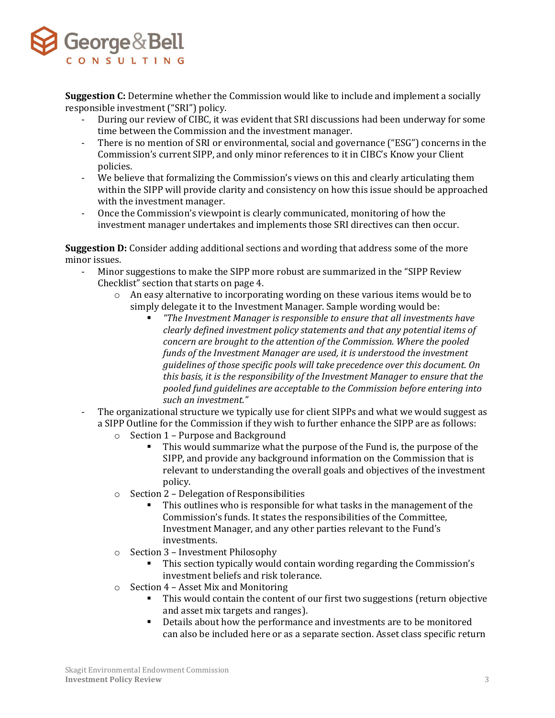

**Suggestion C:** Determine whether the Commission would like to include and implement a socially responsible investment ("SRI") policy.

- During our review of CIBC, it was evident that SRI discussions had been underway for some time between the Commission and the investment manager.
- There is no mention of SRI or environmental, social and governance ("ESG") concerns in the Commission's current SIPP, and only minor references to it in CIBC's Know your Client policies.
- We believe that formalizing the Commission's views on this and clearly articulating them within the SIPP will provide clarity and consistency on how this issue should be approached with the investment manager.
- Once the Commission's viewpoint is clearly communicated, monitoring of how the investment manager undertakes and implements those SRI directives can then occur.

Suggestion D: Consider adding additional sections and wording that address some of the more minor issues.

- Minor suggestions to make the SIPP more robust are summarized in the "SIPP Review Checklist" section that starts on page 4.
	- $\circ$  An easy alternative to incorporating wording on these various items would be to simply delegate it to the Investment Manager. Sample wording would be:
		- "The Investment Manager is responsible to ensure that all investments have clearly defined investment policy statements and that any potential items of concern are brought to the attention of the Commission. Where the pooled funds of the Investment Manager are used, it is understood the investment guidelines of those specific pools will take precedence over this document. On this basis, it is the responsibility of the Investment Manager to ensure that the pooled fund guidelines are acceptable to the Commission before entering into such an investment."
- The organizational structure we typically use for client SIPPs and what we would suggest as a SIPP Outline for the Commission if they wish to further enhance the SIPP are as follows:
	- o Section 1 Purpose and Background
		- This would summarize what the purpose of the Fund is, the purpose of the SIPP, and provide any background information on the Commission that is relevant to understanding the overall goals and objectives of the investment policy.
	- o Section 2 Delegation of Responsibilities
		- This outlines who is responsible for what tasks in the management of the Commission's funds. It states the responsibilities of the Committee, Investment Manager, and any other parties relevant to the Fund's investments.
	- o Section 3 Investment Philosophy
		- This section typically would contain wording regarding the Commission's investment beliefs and risk tolerance.
	- o Section 4 Asset Mix and Monitoring
		- This would contain the content of our first two suggestions (return objective and asset mix targets and ranges).
		- Details about how the performance and investments are to be monitored can also be included here or as a separate section. Asset class specific return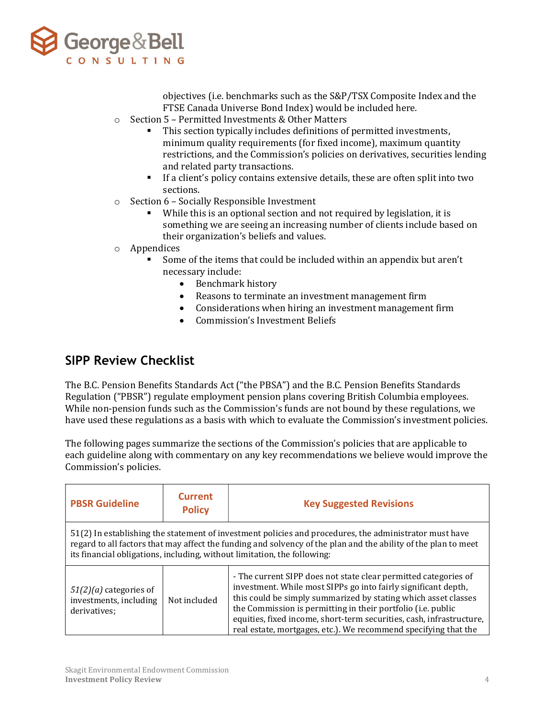

objectives (i.e. benchmarks such as the S&P/TSX Composite Index and the FTSE Canada Universe Bond Index) would be included here.

- o Section 5 Permitted Investments & Other Matters
	- This section typically includes definitions of permitted investments, minimum quality requirements (for fixed income), maximum quantity restrictions, and the Commission's policies on derivatives, securities lending and related party transactions.
	- If a client's policy contains extensive details, these are often split into two sections.
- o Section 6 Socially Responsible Investment
	- While this is an optional section and not required by legislation, it is something we are seeing an increasing number of clients include based on their organization's beliefs and values.
- o Appendices
	- Some of the items that could be included within an appendix but aren't necessary include:
		- Benchmark history
		- Reasons to terminate an investment management firm
		- Considerations when hiring an investment management firm
		- Commission's Investment Beliefs

## SIPP Review Checklist

The B.C. Pension Benefits Standards Act ("the PBSA") and the B.C. Pension Benefits Standards Regulation ("PBSR") regulate employment pension plans covering British Columbia employees. While non-pension funds such as the Commission's funds are not bound by these regulations, we have used these regulations as a basis with which to evaluate the Commission's investment policies.

The following pages summarize the sections of the Commission's policies that are applicable to each guideline along with commentary on any key recommendations we believe would improve the Commission's policies.

| <b>PBSR Guideline</b>                                                                                                                                                                                                                                                                                | <b>Current</b><br><b>Policy</b> | <b>Key Suggested Revisions</b>                                                                                                                                                                                                                                                                                                                                                                                 |
|------------------------------------------------------------------------------------------------------------------------------------------------------------------------------------------------------------------------------------------------------------------------------------------------------|---------------------------------|----------------------------------------------------------------------------------------------------------------------------------------------------------------------------------------------------------------------------------------------------------------------------------------------------------------------------------------------------------------------------------------------------------------|
| 51(2) In establishing the statement of investment policies and procedures, the administrator must have<br>regard to all factors that may affect the funding and solvency of the plan and the ability of the plan to meet<br>its financial obligations, including, without limitation, the following: |                                 |                                                                                                                                                                                                                                                                                                                                                                                                                |
| $51(2)(a)$ categories of<br>investments, including<br>derivatives:                                                                                                                                                                                                                                   | Not included                    | - The current SIPP does not state clear permitted categories of<br>investment. While most SIPPs go into fairly significant depth,<br>this could be simply summarized by stating which asset classes<br>the Commission is permitting in their portfolio (i.e. public<br>equities, fixed income, short-term securities, cash, infrastructure,<br>real estate, mortgages, etc.). We recommend specifying that the |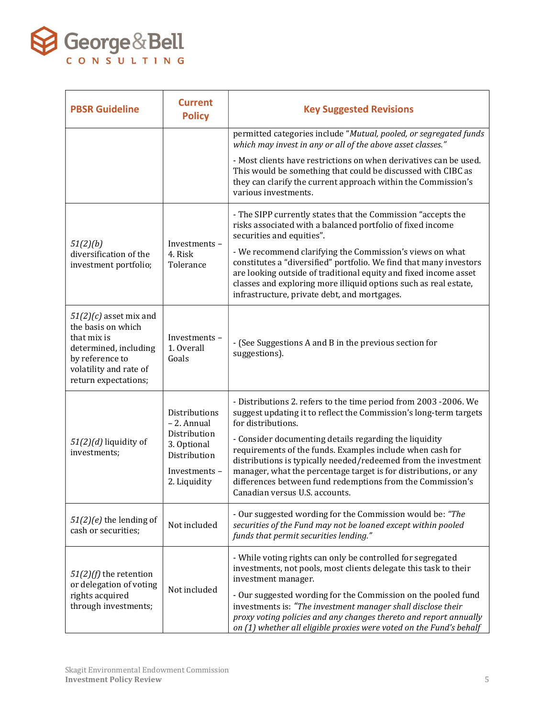

| <b>PBSR Guideline</b>                                                                                                                                       | <b>Current</b><br><b>Policy</b>                                                                             | <b>Key Suggested Revisions</b>                                                                                                                                                                                                                                                                                                                                                                                                                                                                                           |
|-------------------------------------------------------------------------------------------------------------------------------------------------------------|-------------------------------------------------------------------------------------------------------------|--------------------------------------------------------------------------------------------------------------------------------------------------------------------------------------------------------------------------------------------------------------------------------------------------------------------------------------------------------------------------------------------------------------------------------------------------------------------------------------------------------------------------|
|                                                                                                                                                             |                                                                                                             | permitted categories include "Mutual, pooled, or segregated funds<br>which may invest in any or all of the above asset classes."                                                                                                                                                                                                                                                                                                                                                                                         |
|                                                                                                                                                             |                                                                                                             | - Most clients have restrictions on when derivatives can be used.<br>This would be something that could be discussed with CIBC as<br>they can clarify the current approach within the Commission's<br>various investments.                                                                                                                                                                                                                                                                                               |
| 51(2)(b)<br>diversification of the<br>investment portfolio;                                                                                                 | Investments-<br>4. Risk<br>Tolerance                                                                        | - The SIPP currently states that the Commission "accepts the<br>risks associated with a balanced portfolio of fixed income<br>securities and equities".<br>- We recommend clarifying the Commission's views on what<br>constitutes a "diversified" portfolio. We find that many investors<br>are looking outside of traditional equity and fixed income asset<br>classes and exploring more illiquid options such as real estate,<br>infrastructure, private debt, and mortgages.                                        |
| $51(2)(c)$ asset mix and<br>the basis on which<br>that mix is<br>determined, including<br>by reference to<br>volatility and rate of<br>return expectations; | Investments-<br>1. Overall<br>Goals                                                                         | - (See Suggestions A and B in the previous section for<br>suggestions).                                                                                                                                                                                                                                                                                                                                                                                                                                                  |
| $51(2)(d)$ liquidity of<br>investments;                                                                                                                     | Distributions<br>- 2. Annual<br>Distribution<br>3. Optional<br>Distribution<br>Investments-<br>2. Liquidity | - Distributions 2. refers to the time period from 2003 -2006. We<br>suggest updating it to reflect the Commission's long-term targets<br>for distributions.<br>- Consider documenting details regarding the liquidity<br>requirements of the funds. Examples include when cash for<br>distributions is typically needed/redeemed from the investment<br>manager, what the percentage target is for distributions, or any<br>differences between fund redemptions from the Commission's<br>Canadian versus U.S. accounts. |
| $51(2)(e)$ the lending of<br>cash or securities:                                                                                                            | Not included                                                                                                | - Our suggested wording for the Commission would be: "The<br>securities of the Fund may not be loaned except within pooled<br>funds that permit securities lending."                                                                                                                                                                                                                                                                                                                                                     |
| $51(2)(f)$ the retention<br>or delegation of voting<br>rights acquired<br>through investments;                                                              | Not included                                                                                                | - While voting rights can only be controlled for segregated<br>investments, not pools, most clients delegate this task to their<br>investment manager.<br>- Our suggested wording for the Commission on the pooled fund<br>investments is: "The investment manager shall disclose their<br>proxy voting policies and any changes thereto and report annually<br>on (1) whether all eligible proxies were voted on the Fund's behalf                                                                                      |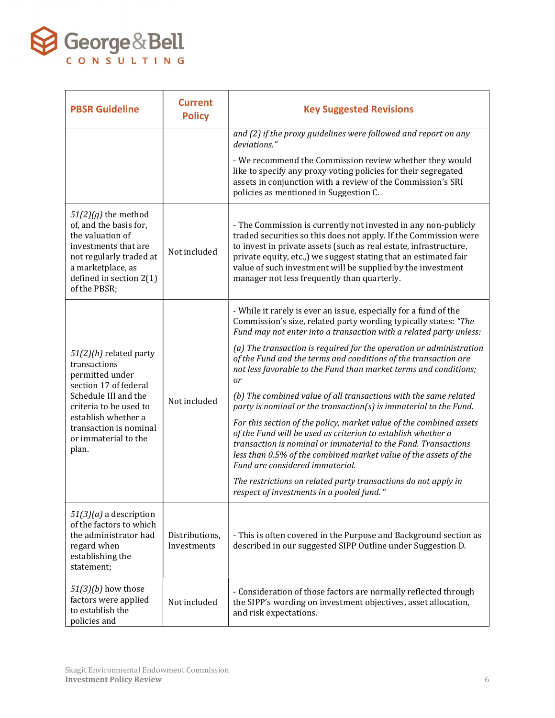

| <b>PBSR Guideline</b>                                                                                                                                                                                                    | <b>Current</b><br><b>Policy</b> | <b>Key Suggested Revisions</b>                                                                                                                                                                                                                                                                                                                                                            |
|--------------------------------------------------------------------------------------------------------------------------------------------------------------------------------------------------------------------------|---------------------------------|-------------------------------------------------------------------------------------------------------------------------------------------------------------------------------------------------------------------------------------------------------------------------------------------------------------------------------------------------------------------------------------------|
|                                                                                                                                                                                                                          |                                 | and (2) if the proxy guidelines were followed and report on any<br>deviations."                                                                                                                                                                                                                                                                                                           |
|                                                                                                                                                                                                                          |                                 | - We recommend the Commission review whether they would<br>like to specify any proxy voting policies for their segregated<br>assets in conjunction with a review of the Commission's SRI<br>policies as mentioned in Suggestion C.                                                                                                                                                        |
| $51(2)(g)$ the method<br>of, and the basis for,<br>the valuation of<br>investments that are<br>not regularly traded at<br>a marketplace, as<br>defined in section $2(1)$<br>of the PBSR;                                 | Not included                    | - The Commission is currently not invested in any non-publicly<br>traded securities so this does not apply. If the Commission were<br>to invest in private assets (such as real estate, infrastructure,<br>private equity, etc.,) we suggest stating that an estimated fair<br>value of such investment will be supplied by the investment<br>manager not less frequently than quarterly. |
| $51(2)(h)$ related party<br>transactions<br>permitted under<br>section 17 of federal<br>Schedule III and the<br>criteria to be used to<br>establish whether a<br>transaction is nominal<br>or immaterial to the<br>plan. | Not included                    | - While it rarely is ever an issue, especially for a fund of the<br>Commission's size, related party wording typically states: "The<br>Fund may not enter into a transaction with a related party unless:                                                                                                                                                                                 |
|                                                                                                                                                                                                                          |                                 | (a) The transaction is required for the operation or administration<br>of the Fund and the terms and conditions of the transaction are<br>not less favorable to the Fund than market terms and conditions;<br>or                                                                                                                                                                          |
|                                                                                                                                                                                                                          |                                 | (b) The combined value of all transactions with the same related<br>party is nominal or the transaction(s) is immaterial to the Fund.                                                                                                                                                                                                                                                     |
|                                                                                                                                                                                                                          |                                 | For this section of the policy, market value of the combined assets<br>of the Fund will be used as criterion to establish whether a<br>transaction is nominal or immaterial to the Fund. Transactions<br>less than 0.5% of the combined market value of the assets of the<br>Fund are considered immaterial.                                                                              |
|                                                                                                                                                                                                                          |                                 | The restrictions on related party transactions do not apply in<br>respect of investments in a pooled fund. "                                                                                                                                                                                                                                                                              |
| $51(3)(a)$ a description<br>of the factors to which<br>the administrator had<br>regard when<br>establishing the<br>statement:                                                                                            | Distributions,<br>Investments   | - This is often covered in the Purpose and Background section as<br>described in our suggested SIPP Outline under Suggestion D.                                                                                                                                                                                                                                                           |
| $51(3)(b)$ how those<br>factors were applied<br>to establish the<br>policies and                                                                                                                                         | Not included                    | - Consideration of those factors are normally reflected through<br>the SIPP's wording on investment objectives, asset allocation,<br>and risk expectations.                                                                                                                                                                                                                               |